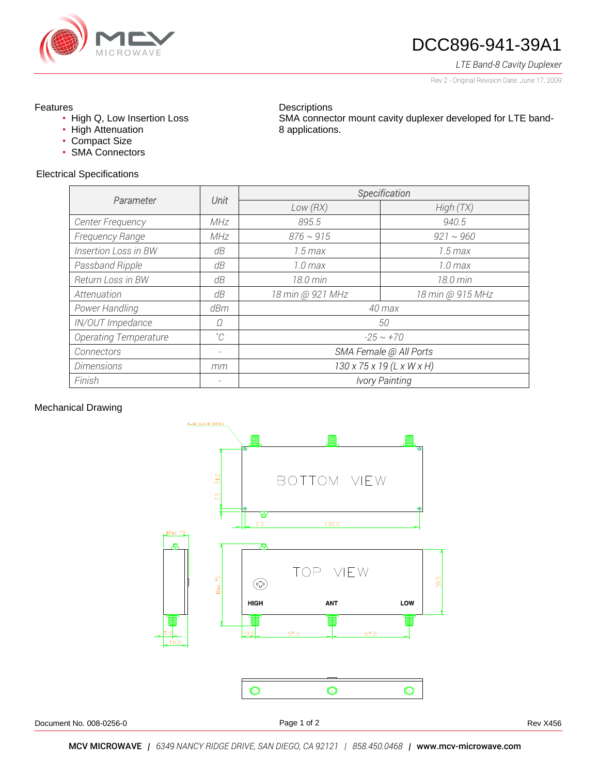

# DCC896-941-39A1

SMA connector mount cavity duplexer developed for LTE band-

*LTE Band-8 Cavity Duplexer*

Rev 2 - Original Revision Date: June 17, 2009

## Features

- High Q, Low Insertion Loss
- High Attenuation
- Compact Size
- SMA Connectors

## Electrical Specifications

| <b>OPOUTIOUTO</b>            |             |                                       |                       |  |  |  |
|------------------------------|-------------|---------------------------------------|-----------------------|--|--|--|
|                              |             | Specification                         |                       |  |  |  |
| Parameter                    | Unit        | Low(RX)                               | High(TX)              |  |  |  |
| Center Frequency             | MHz         | 895.5                                 | 940.5                 |  |  |  |
| Frequency Range              | MHz         | $876 \sim 915$                        | $921 \sim 960$        |  |  |  |
| <b>Insertion Loss in BW</b>  | dB          | $1.5 \, max$                          | $1.5 \, max$          |  |  |  |
| Passband Ripple              | dB          | 1.0 <sub>max</sub>                    | 1.0 <sub>max</sub>    |  |  |  |
| <b>Return Loss in BW</b>     | dB          | 18.0 min                              | 18.0 min              |  |  |  |
| Attenuation                  | dB          | 18 min @ 921 MHz                      | 18 min @ 915 MHz      |  |  |  |
| Power Handling               | dBm         | 40 max                                |                       |  |  |  |
| IN/OUT Impedance             | Ω           | 50                                    |                       |  |  |  |
| <b>Operating Temperature</b> | $^{\circ}C$ | $-25 \sim +70$                        |                       |  |  |  |
| Connectors                   |             | SMA Female @ All Ports                |                       |  |  |  |
| <b>Dimensions</b>            | mm          | $130 \times 75 \times 19$ (L x W x H) |                       |  |  |  |
| Finish                       |             |                                       | <b>Ivory Painting</b> |  |  |  |

**Descriptions** 

8 applications.

#### Mechanical Drawing